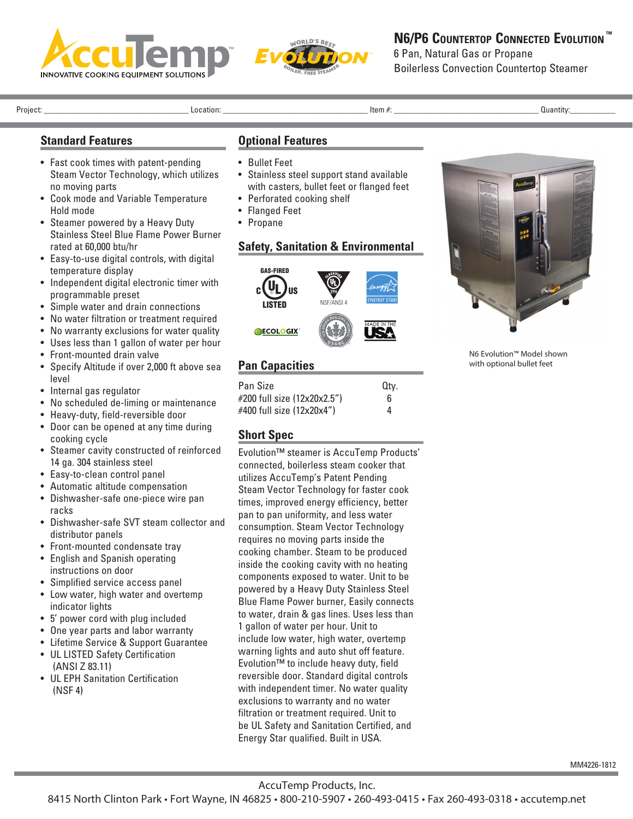



### **N6/P6 CouNtertoP CoNNeCted evolutioN ™**

6 Pan, Natural Gas or Propane Boilerless Convection Countertop Steamer

Project: \_\_\_\_\_\_\_\_\_\_\_\_\_\_\_\_\_\_\_\_\_\_\_\_\_\_\_\_\_\_\_\_\_\_\_ Location: \_\_\_\_\_\_\_\_\_\_\_\_\_\_\_\_\_\_\_\_\_\_\_\_\_\_\_\_\_\_\_\_\_\_\_ Item #: \_\_\_\_\_\_\_\_\_\_\_\_\_\_\_\_\_\_\_\_\_\_\_\_\_\_\_\_\_\_\_\_\_\_\_ Quantity:\_\_\_\_\_\_\_\_\_\_\_

#### **Standard Features**

- Fast cook times with patent-pending Steam Vector Technology, which utilizes no moving parts
- Cook mode and Variable Temperature Hold mode
- Steamer powered by a Heavy Duty Stainless Steel Blue Flame Power Burner rated at 60,000 btu/hr
- Easy-to-use digital controls, with digital temperature display
- Independent digital electronic timer with programmable preset
- Simple water and drain connections
- No water filtration or treatment required
- No warranty exclusions for water quality
- Uses less than 1 gallon of water per hour
- Front-mounted drain valve
- Specify Altitude if over 2,000 ft above sea level
- Internal gas regulator
- No scheduled de-liming or maintenance
- Heavy-duty, field-reversible door
- Door can be opened at any time during cooking cycle
- Steamer cavity constructed of reinforced 14 ga. 304 stainless steel
- Easy-to-clean control panel
- Automatic altitude compensation
- Dishwasher-safe one-piece wire pan racks
- Dishwasher-safe SVT steam collector and distributor panels
- Front-mounted condensate tray
- English and Spanish operating instructions on door
- Simplified service access panel
- Low water, high water and overtemp indicator lights
- 5' power cord with plug included
- One year parts and labor warranty
- Lifetime Service & Support Guarantee
- UL LISTED Safety Certification (ANSI Z 83.11)
- UL EPH Sanitation Certification (NSF 4)

#### **Optional Features**

- Bullet Feet
- Stainless steel support stand available with casters, bullet feet or flanged feet
- Perforated cooking shelf
- Flanged Feet
- Propane

## **Safety, Sanitation & Environmental**



# **Pan Capacities**

| Pan Size                    | Qtv. |
|-----------------------------|------|
| #200 full size (12x20x2.5") | 6    |
| #400 full size (12x20x4")   | 4    |

### **Short Spec**

Evolution™ steamer is AccuTemp Products' connected, boilerless steam cooker that utilizes AccuTemp's Patent Pending Steam Vector Technology for faster cook times, improved energy efficiency, better pan to pan uniformity, and less water consumption. Steam Vector Technology requires no moving parts inside the cooking chamber. Steam to be produced inside the cooking cavity with no heating components exposed to water. Unit to be powered by a Heavy Duty Stainless Steel Blue Flame Power burner, Easily connects to water, drain & gas lines. Uses less than 1 gallon of water per hour. Unit to include low water, high water, overtemp warning lights and auto shut off feature. Evolution™ to include heavy duty, field reversible door. Standard digital controls with independent timer. No water quality exclusions to warranty and no water filtration or treatment required. Unit to be UL Safety and Sanitation Certified, and Energy Star qualified. Built in USA.



N6 Evolution™ Model shown with optional bullet feet

AccuTemp Products, Inc.